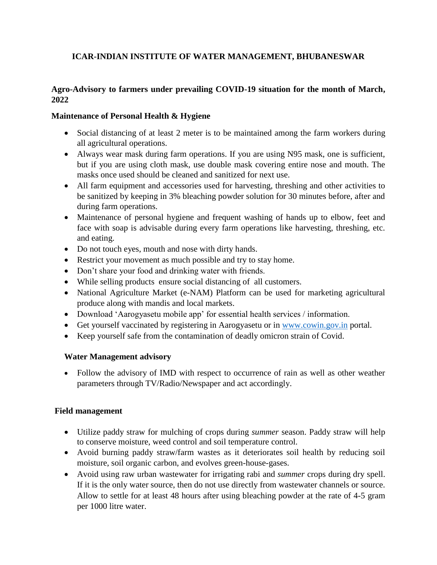# **ICAR-INDIAN INSTITUTE OF WATER MANAGEMENT, BHUBANESWAR**

# **Agro-Advisory to farmers under prevailing COVID-19 situation for the month of March, 2022**

# **Maintenance of Personal Health & Hygiene**

- Social distancing of at least 2 meter is to be maintained among the farm workers during all agricultural operations.
- Always wear mask during farm operations. If you are using N95 mask, one is sufficient, but if you are using cloth mask, use double mask covering entire nose and mouth. The masks once used should be cleaned and sanitized for next use.
- All farm equipment and accessories used for harvesting, threshing and other activities to be sanitized by keeping in 3% bleaching powder solution for 30 minutes before, after and during farm operations.
- Maintenance of personal hygiene and frequent washing of hands up to elbow, feet and face with soap is advisable during every farm operations like harvesting, threshing, etc. and eating.
- Do not touch eyes, mouth and nose with dirty hands.
- Restrict your movement as much possible and try to stay home.
- Don't share your food and drinking water with friends.
- While selling products ensure social distancing of all customers.
- National Agriculture Market (e-NAM) Platform can be used for marketing agricultural produce along with mandis and local markets.
- Download 'Aarogyasetu mobile app' for essential health services / information.
- Get yourself vaccinated by registering in Aarogyasetu or in [www.cowin.gov.in](http://www.cowin.gov.in/) portal.
- Keep yourself safe from the contamination of deadly omicron strain of Covid.

## **Water Management advisory**

• Follow the advisory of IMD with respect to occurrence of rain as well as other weather parameters through TV/Radio/Newspaper and act accordingly.

## **Field management**

- Utilize paddy straw for mulching of crops during *summer* season. Paddy straw will help to conserve moisture, weed control and soil temperature control.
- Avoid burning paddy straw/farm wastes as it deteriorates soil health by reducing soil moisture, soil organic carbon, and evolves green-house-gases.
- Avoid using raw urban wastewater for irrigating rabi and *summer* crops during dry spell. If it is the only water source, then do not use directly from wastewater channels or source. Allow to settle for at least 48 hours after using bleaching powder at the rate of 4-5 gram per 1000 litre water.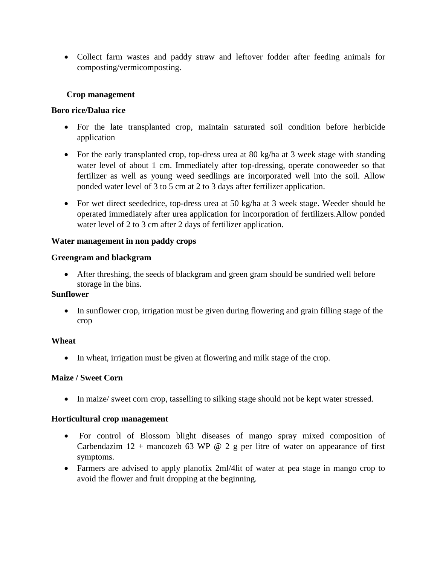Collect farm wastes and paddy straw and leftover fodder after feeding animals for composting/vermicomposting.

## **Crop management**

### **Boro rice/Dalua rice**

- For the late transplanted crop, maintain saturated soil condition before herbicide application
- For the early transplanted crop, top-dress urea at 80 kg/ha at 3 week stage with standing water level of about 1 cm. Immediately after top-dressing, operate conoweeder so that fertilizer as well as young weed seedlings are incorporated well into the soil. Allow ponded water level of 3 to 5 cm at 2 to 3 days after fertilizer application.
- For wet direct seededrice, top-dress urea at 50 kg/ha at 3 week stage. Weeder should be operated immediately after urea application for incorporation of fertilizers.Allow ponded water level of 2 to 3 cm after 2 days of fertilizer application.

### **Water management in non paddy crops**

### **Greengram and blackgram**

 After threshing, the seeds of blackgram and green gram should be sundried well before storage in the bins.

## **Sunflower**

 In sunflower crop, irrigation must be given during flowering and grain filling stage of the crop

### **Wheat**

In wheat, irrigation must be given at flowering and milk stage of the crop.

### **Maize / Sweet Corn**

• In maize/ sweet corn crop, tasselling to silking stage should not be kept water stressed.

### **Horticultural crop management**

- For control of Blossom blight diseases of mango spray mixed composition of Carbendazim  $12 +$  mancozeb 63 WP @ 2 g per litre of water on appearance of first symptoms.
- Farmers are advised to apply planofix 2ml/4lit of water at pea stage in mango crop to avoid the flower and fruit dropping at the beginning.